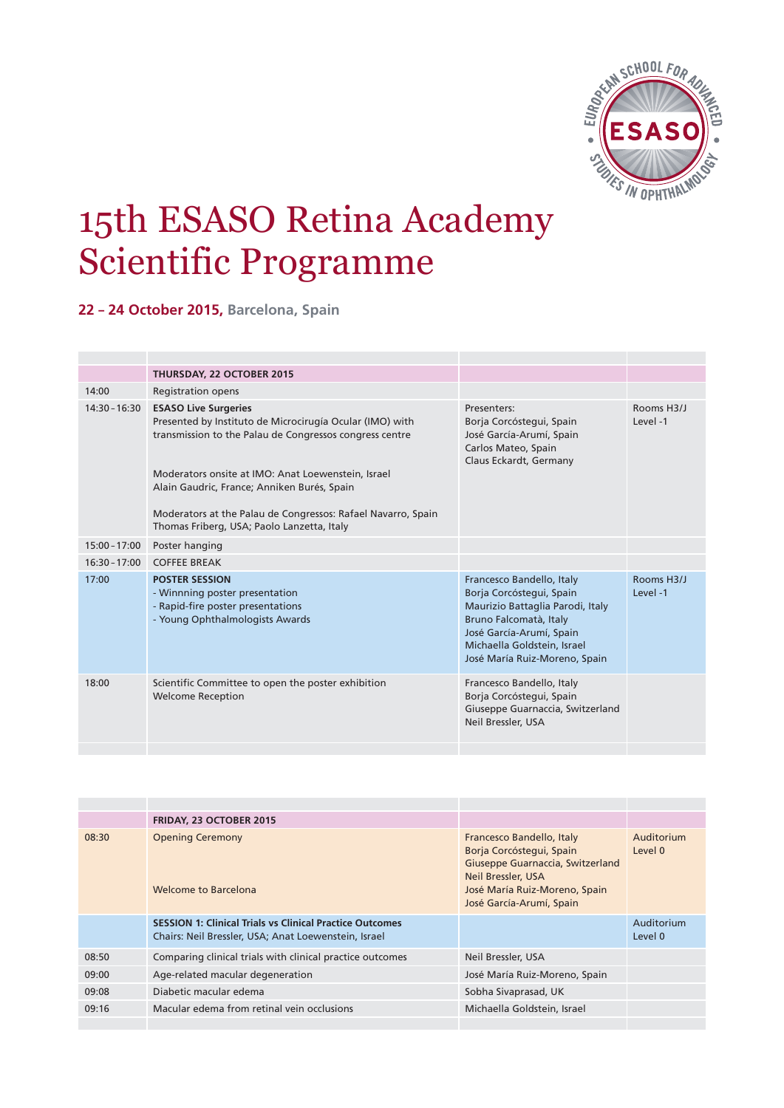

# 15th ESASO Retina Academy Scientific Programme

**22 – 24 October 2015, Barcelona, Spain**

|                 | <b>THURSDAY, 22 OCTOBER 2015</b>                                                                                                                                                                                                                                                                                                                                      |                                                                                                                                                                                                                 |                       |
|-----------------|-----------------------------------------------------------------------------------------------------------------------------------------------------------------------------------------------------------------------------------------------------------------------------------------------------------------------------------------------------------------------|-----------------------------------------------------------------------------------------------------------------------------------------------------------------------------------------------------------------|-----------------------|
| 14:00           | <b>Registration opens</b>                                                                                                                                                                                                                                                                                                                                             |                                                                                                                                                                                                                 |                       |
| $14:30 - 16:30$ | <b>ESASO Live Surgeries</b><br>Presented by Instituto de Microcirugía Ocular (IMO) with<br>transmission to the Palau de Congressos congress centre<br>Moderators onsite at IMO: Anat Loewenstein, Israel<br>Alain Gaudric, France; Anniken Burés, Spain<br>Moderators at the Palau de Congressos: Rafael Navarro, Spain<br>Thomas Friberg, USA; Paolo Lanzetta, Italy | Presenters:<br>Borja Corcóstegui, Spain<br>José García-Arumí, Spain<br>Carlos Mateo, Spain<br>Claus Eckardt, Germany                                                                                            | Rooms H3/J<br>Level-1 |
|                 |                                                                                                                                                                                                                                                                                                                                                                       |                                                                                                                                                                                                                 |                       |
| $15:00 - 17:00$ | Poster hanging                                                                                                                                                                                                                                                                                                                                                        |                                                                                                                                                                                                                 |                       |
| $16:30 - 17:00$ | <b>COFFEE BREAK</b>                                                                                                                                                                                                                                                                                                                                                   |                                                                                                                                                                                                                 |                       |
| 17:00           | <b>POSTER SESSION</b><br>- Winnning poster presentation<br>- Rapid-fire poster presentations<br>- Young Ophthalmologists Awards                                                                                                                                                                                                                                       | Francesco Bandello, Italy<br>Borja Corcóstegui, Spain<br>Maurizio Battaglia Parodi, Italy<br>Bruno Falcomatà, Italy<br>José García-Arumí, Spain<br>Michaella Goldstein, Israel<br>José María Ruiz-Moreno, Spain | Rooms H3/J<br>Level-1 |
| 18:00           | Scientific Committee to open the poster exhibition<br><b>Welcome Reception</b>                                                                                                                                                                                                                                                                                        | Francesco Bandello, Italy<br>Borja Corcóstegui, Spain<br>Giuseppe Guarnaccia, Switzerland<br>Neil Bressler, USA                                                                                                 |                       |
|                 |                                                                                                                                                                                                                                                                                                                                                                       |                                                                                                                                                                                                                 |                       |

|       | <b>FRIDAY, 23 OCTOBER 2015</b>                                                                                          |                                                                                                                                                                                     |                       |
|-------|-------------------------------------------------------------------------------------------------------------------------|-------------------------------------------------------------------------------------------------------------------------------------------------------------------------------------|-----------------------|
| 08:30 | <b>Opening Ceremony</b><br>Welcome to Barcelona                                                                         | Francesco Bandello, Italy<br>Borja Corcóstegui, Spain<br>Giuseppe Guarnaccia, Switzerland<br><b>Neil Bressler, USA</b><br>José María Ruiz-Moreno, Spain<br>José García-Arumí, Spain | Auditorium<br>Level 0 |
|       | <b>SESSION 1: Clinical Trials vs Clinical Practice Outcomes</b><br>Chairs: Neil Bressler, USA; Anat Loewenstein, Israel |                                                                                                                                                                                     | Auditorium<br>Level 0 |
| 08:50 | Comparing clinical trials with clinical practice outcomes                                                               | Neil Bressler, USA                                                                                                                                                                  |                       |
| 09:00 | Age-related macular degeneration                                                                                        | José María Ruiz-Moreno, Spain                                                                                                                                                       |                       |
| 09:08 | Diabetic macular edema                                                                                                  | Sobha Sivaprasad, UK                                                                                                                                                                |                       |
| 09:16 | Macular edema from retinal vein occlusions                                                                              | Michaella Goldstein, Israel                                                                                                                                                         |                       |
|       |                                                                                                                         |                                                                                                                                                                                     |                       |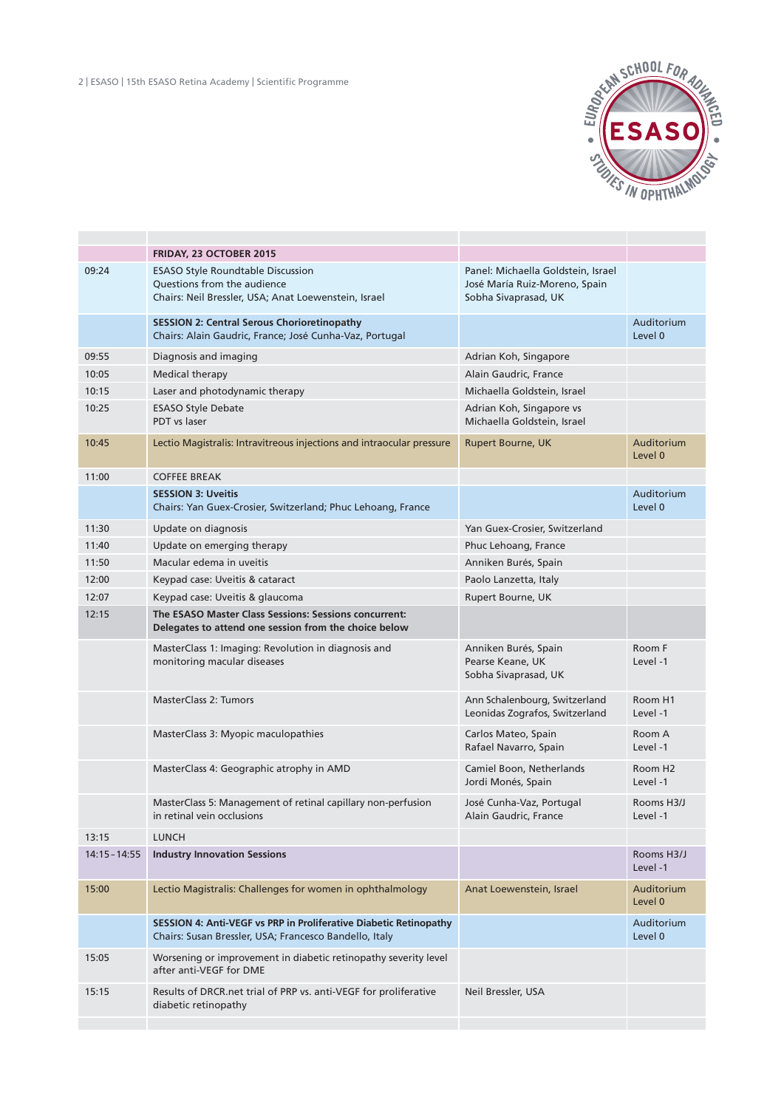

|                 | <b>FRIDAY, 23 OCTOBER 2015</b>                                                                                                  |                                                                                             |                                 |
|-----------------|---------------------------------------------------------------------------------------------------------------------------------|---------------------------------------------------------------------------------------------|---------------------------------|
| 09:24           | <b>ESASO Style Roundtable Discussion</b><br>Questions from the audience<br>Chairs: Neil Bressler, USA; Anat Loewenstein, Israel | Panel: Michaella Goldstein, Israel<br>José María Ruiz-Moreno, Spain<br>Sobha Sivaprasad, UK |                                 |
|                 | <b>SESSION 2: Central Serous Chorioretinopathy</b><br>Chairs: Alain Gaudric, France; José Cunha-Vaz, Portugal                   |                                                                                             | Auditorium<br>Level 0           |
| 09:55           | Diagnosis and imaging                                                                                                           | Adrian Koh, Singapore                                                                       |                                 |
| 10:05           | <b>Medical therapy</b>                                                                                                          | Alain Gaudric, France                                                                       |                                 |
| 10:15           | Laser and photodynamic therapy                                                                                                  | Michaella Goldstein, Israel                                                                 |                                 |
| 10:25           | <b>ESASO Style Debate</b><br>PDT vs laser                                                                                       | Adrian Koh, Singapore vs<br>Michaella Goldstein, Israel                                     |                                 |
| 10:45           | Lectio Magistralis: Intravitreous injections and intraocular pressure                                                           | <b>Rupert Bourne, UK</b>                                                                    | Auditorium<br>Level 0           |
| 11:00           | <b>COFFEE BREAK</b>                                                                                                             |                                                                                             |                                 |
|                 | <b>SESSION 3: Uveitis</b><br>Chairs: Yan Guex-Crosier, Switzerland; Phuc Lehoang, France                                        |                                                                                             | Auditorium<br>Level 0           |
| 11:30           | Update on diagnosis                                                                                                             | Yan Guex-Crosier, Switzerland                                                               |                                 |
| 11:40           | Update on emerging therapy                                                                                                      | Phuc Lehoang, France                                                                        |                                 |
| 11:50           | Macular edema in uveitis                                                                                                        | Anniken Burés, Spain                                                                        |                                 |
| 12:00           | Keypad case: Uveitis & cataract                                                                                                 | Paolo Lanzetta, Italy                                                                       |                                 |
| 12:07           | Keypad case: Uveitis & glaucoma                                                                                                 | Rupert Bourne, UK                                                                           |                                 |
| 12:15           | The ESASO Master Class Sessions: Sessions concurrent:<br>Delegates to attend one session from the choice below                  |                                                                                             |                                 |
|                 | MasterClass 1: Imaging: Revolution in diagnosis and<br>monitoring macular diseases                                              | Anniken Burés, Spain<br>Pearse Keane, UK<br>Sobha Sivaprasad, UK                            | Room F<br>Level -1              |
|                 | <b>MasterClass 2: Tumors</b>                                                                                                    | Ann Schalenbourg, Switzerland<br>Leonidas Zografos, Switzerland                             | Room H1<br>Level -1             |
|                 | MasterClass 3: Myopic maculopathies                                                                                             | Carlos Mateo, Spain<br>Rafael Navarro, Spain                                                | Room A<br>Level -1              |
|                 | MasterClass 4: Geographic atrophy in AMD                                                                                        | Camiel Boon, Netherlands<br>Jordi Monés, Spain                                              | Room H <sub>2</sub><br>Level -1 |
|                 | MasterClass 5: Management of retinal capillary non-perfusion<br>in retinal vein occlusions                                      | José Cunha-Vaz, Portugal<br>Alain Gaudric, France                                           | Rooms H3/J<br>Level -1          |
| 13:15           | <b>LUNCH</b>                                                                                                                    |                                                                                             |                                 |
| $14:15 - 14:55$ | <b>Industry Innovation Sessions</b>                                                                                             |                                                                                             | Rooms H3/J<br>Level-1           |
| 15:00           | Lectio Magistralis: Challenges for women in ophthalmology                                                                       | Anat Loewenstein, Israel                                                                    | Auditorium<br>Level 0           |
|                 | SESSION 4: Anti-VEGF vs PRP in Proliferative Diabetic Retinopathy<br>Chairs: Susan Bressler, USA; Francesco Bandello, Italy     |                                                                                             | Auditorium<br>Level 0           |
| 15:05           | Worsening or improvement in diabetic retinopathy severity level<br>after anti-VEGF for DME                                      |                                                                                             |                                 |
| 15:15           | Results of DRCR.net trial of PRP vs. anti-VEGF for proliferative<br>diabetic retinopathy                                        | Neil Bressler, USA                                                                          |                                 |
|                 |                                                                                                                                 |                                                                                             |                                 |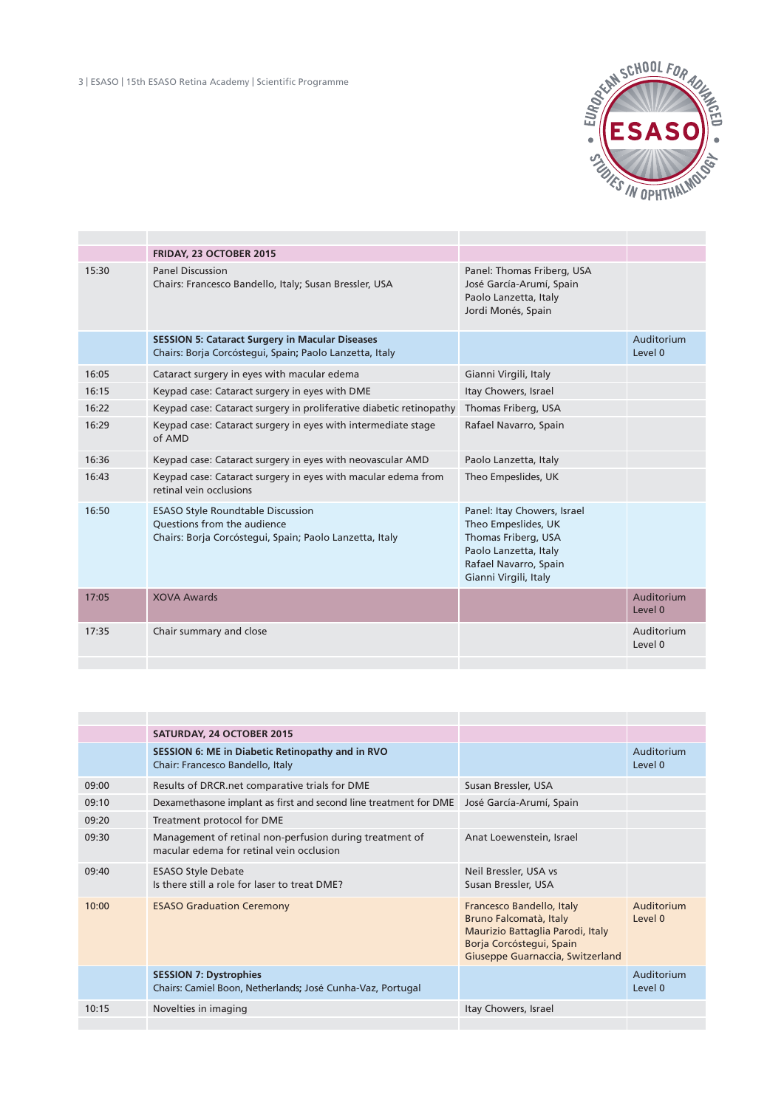

|       | FRIDAY, 23 OCTOBER 2015                                                                                                                   |                                                                                                                                                      |                       |
|-------|-------------------------------------------------------------------------------------------------------------------------------------------|------------------------------------------------------------------------------------------------------------------------------------------------------|-----------------------|
| 15:30 | <b>Panel Discussion</b><br>Chairs: Francesco Bandello, Italy; Susan Bressler, USA                                                         | Panel: Thomas Friberg, USA<br>José García-Arumí, Spain<br>Paolo Lanzetta, Italy<br>Jordi Monés, Spain                                                |                       |
|       | <b>SESSION 5: Cataract Surgery in Macular Diseases</b><br>Chairs: Borja Corcóstegui, Spain; Paolo Lanzetta, Italy                         |                                                                                                                                                      | Auditorium<br>Level 0 |
| 16:05 | Cataract surgery in eyes with macular edema                                                                                               | Gianni Virgili, Italy                                                                                                                                |                       |
| 16:15 | Keypad case: Cataract surgery in eyes with DME                                                                                            | Itay Chowers, Israel                                                                                                                                 |                       |
| 16:22 | Keypad case: Cataract surgery in proliferative diabetic retinopathy                                                                       | Thomas Friberg, USA                                                                                                                                  |                       |
| 16:29 | Keypad case: Cataract surgery in eyes with intermediate stage<br>of AMD                                                                   | Rafael Navarro, Spain                                                                                                                                |                       |
| 16:36 | Keypad case: Cataract surgery in eyes with neovascular AMD                                                                                | Paolo Lanzetta, Italy                                                                                                                                |                       |
| 16:43 | Keypad case: Cataract surgery in eyes with macular edema from<br>retinal vein occlusions                                                  | Theo Empeslides, UK                                                                                                                                  |                       |
| 16:50 | <b>ESASO Style Roundtable Discussion</b><br><b>Ouestions from the audience</b><br>Chairs: Borja Corcóstegui, Spain; Paolo Lanzetta, Italy | Panel: Itay Chowers, Israel<br>Theo Empeslides, UK<br>Thomas Friberg, USA<br>Paolo Lanzetta, Italy<br>Rafael Navarro, Spain<br>Gianni Virgili, Italy |                       |
| 17:05 | <b>XOVA Awards</b>                                                                                                                        |                                                                                                                                                      | Auditorium<br>Level 0 |
| 17:35 | Chair summary and close                                                                                                                   |                                                                                                                                                      | Auditorium<br>Level 0 |
|       |                                                                                                                                           |                                                                                                                                                      |                       |

|       | <b>SATURDAY, 24 OCTOBER 2015</b>                                                                    |                                                                                                                                                         |                       |
|-------|-----------------------------------------------------------------------------------------------------|---------------------------------------------------------------------------------------------------------------------------------------------------------|-----------------------|
|       | SESSION 6: ME in Diabetic Retinopathy and in RVO<br>Chair: Francesco Bandello, Italy                |                                                                                                                                                         | Auditorium<br>Level 0 |
| 09:00 | Results of DRCR.net comparative trials for DME                                                      | Susan Bressler, USA                                                                                                                                     |                       |
| 09:10 | Dexamethasone implant as first and second line treatment for DME                                    | José García-Arumí, Spain                                                                                                                                |                       |
| 09:20 | Treatment protocol for DME                                                                          |                                                                                                                                                         |                       |
| 09:30 | Management of retinal non-perfusion during treatment of<br>macular edema for retinal vein occlusion | Anat Loewenstein, Israel                                                                                                                                |                       |
| 09:40 | <b>ESASO Style Debate</b><br>Is there still a role for laser to treat DME?                          | Neil Bressler, USA vs<br>Susan Bressler, USA                                                                                                            |                       |
| 10:00 | <b>ESASO Graduation Ceremony</b>                                                                    | Francesco Bandello, Italy<br>Bruno Falcomatà, Italy<br>Maurizio Battaglia Parodi, Italy<br>Borja Corcóstegui, Spain<br>Giuseppe Guarnaccia, Switzerland | Auditorium<br>Level 0 |
|       | <b>SESSION 7: Dystrophies</b><br>Chairs: Camiel Boon, Netherlands; José Cunha-Vaz, Portugal         |                                                                                                                                                         | Auditorium<br>Level 0 |
| 10:15 | Novelties in imaging                                                                                | Itay Chowers, Israel                                                                                                                                    |                       |
|       |                                                                                                     |                                                                                                                                                         |                       |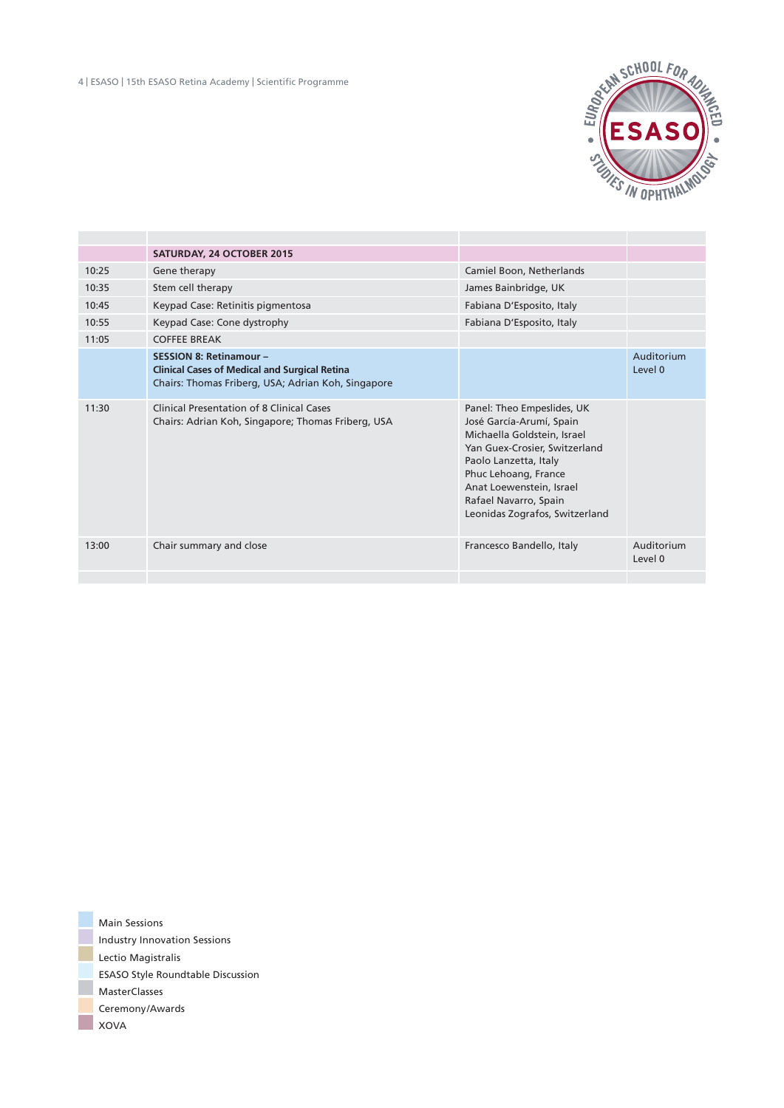

|       | <b>SATURDAY, 24 OCTOBER 2015</b>                                                                                                             |                                                                                                                                                                                                                                                                |                       |
|-------|----------------------------------------------------------------------------------------------------------------------------------------------|----------------------------------------------------------------------------------------------------------------------------------------------------------------------------------------------------------------------------------------------------------------|-----------------------|
| 10:25 | Gene therapy                                                                                                                                 | Camiel Boon, Netherlands                                                                                                                                                                                                                                       |                       |
| 10:35 | Stem cell therapy                                                                                                                            | James Bainbridge, UK                                                                                                                                                                                                                                           |                       |
| 10:45 | Keypad Case: Retinitis pigmentosa                                                                                                            | Fabiana D'Esposito, Italy                                                                                                                                                                                                                                      |                       |
| 10:55 | Keypad Case: Cone dystrophy                                                                                                                  | Fabiana D'Esposito, Italy                                                                                                                                                                                                                                      |                       |
| 11:05 | <b>COFFEE BREAK</b>                                                                                                                          |                                                                                                                                                                                                                                                                |                       |
|       | <b>SESSION 8: Retinamour -</b><br><b>Clinical Cases of Medical and Surgical Retina</b><br>Chairs: Thomas Friberg, USA; Adrian Koh, Singapore |                                                                                                                                                                                                                                                                | Auditorium<br>level 0 |
| 11:30 | Clinical Presentation of 8 Clinical Cases<br>Chairs: Adrian Koh, Singapore; Thomas Friberg, USA                                              | Panel: Theo Empeslides, UK<br>José García-Arumí, Spain<br>Michaella Goldstein, Israel<br>Yan Guex-Crosier, Switzerland<br>Paolo Lanzetta, Italy<br>Phuc Lehoang, France<br>Anat Loewenstein, Israel<br>Rafael Navarro, Spain<br>Leonidas Zografos, Switzerland |                       |
| 13:00 | Chair summary and close                                                                                                                      | Francesco Bandello, Italy                                                                                                                                                                                                                                      | Auditorium<br>Level 0 |
|       |                                                                                                                                              |                                                                                                                                                                                                                                                                |                       |

Main Sessions Industry Innovation Sessions Lectio Magistralis ESASO Style Roundtable Discussion MasterClasses Ceremony/Awards **XOVA**